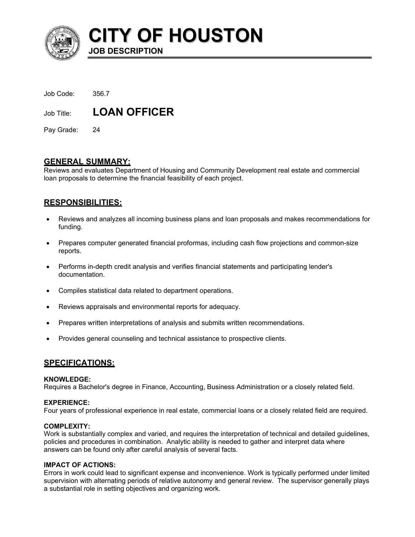

**CITY OF HOUSTON**

| Job Code: | 356.7 |
|-----------|-------|
|           |       |

Job Title: **LOAN OFFICER** 

**JOB DESCRIPTION** 

Pay Grade: 24

## **GENERAL SUMMARY:**

Reviews and evaluates Department of Housing and Community Development real estate and commercial loan proposals to determine the financial feasibility of each project.

# **RESPONSIBILITIES:**

- Reviews and analyzes all incoming business plans and loan proposals and makes recommendations for funding. •
- Prepares computer generated financial proformas, including cash flow projections and common-size reports.
- Performs in-depth credit analysis and verifies financial statements and participating lender's documentation.
- Compiles statistical data related to department operations.
- Reviews appraisals and environmental reports for adequacy.
- Prepares written interpretations of analysis and submits written recommendations.
- Provides general counseling and technical assistance to prospective clients.

## **SPECIFICATIONS:**

## **KNOWLEDGE:**

Requires a Bachelor's degree in Finance, Accounting, Business Administration or a closely related field.

## **EXPERIENCE:**

Four years of professional experience in real estate, commercial loans or a closely related field are required.

## **COMPLEXITY:**

Work is substantially complex and varied, and requires the interpretation of technical and detailed guidelines, policies and procedures in combination. Analytic ability is needed to gather and interpret data where answers can be found only after careful analysis of several facts.

## **IMPACT OF ACTIONS:**

Errors in work could lead to significant expense and inconvenience. Work is typically performed under limited supervision with alternating periods of relative autonomy and general review. The supervisor generally plays a substantial role in setting objectives and organizing work.